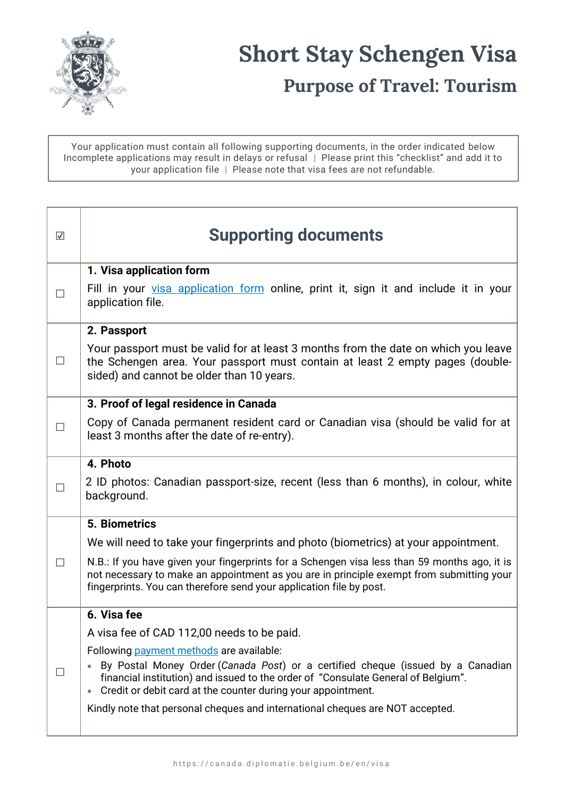

## **Short Stay Schengen Visa Purpose of Travel: Tourism**

Your application must contain all following supporting documents, in the order indicated below Incomplete applications may result in delays or refusal | Please print this "checklist" and add it to your application file | Please note that visa fees are not refundable.

| $\overline{\mathbf{v}}$ | <b>Supporting documents</b>                                                                                                                                                                                                                                                                                                                                                    |
|-------------------------|--------------------------------------------------------------------------------------------------------------------------------------------------------------------------------------------------------------------------------------------------------------------------------------------------------------------------------------------------------------------------------|
|                         | 1. Visa application form                                                                                                                                                                                                                                                                                                                                                       |
|                         | Fill in your visa application form online, print it, sign it and include it in your<br>application file.                                                                                                                                                                                                                                                                       |
|                         | 2. Passport                                                                                                                                                                                                                                                                                                                                                                    |
| $\perp$                 | Your passport must be valid for at least 3 months from the date on which you leave<br>the Schengen area. Your passport must contain at least 2 empty pages (double-<br>sided) and cannot be older than 10 years.                                                                                                                                                               |
|                         | 3. Proof of legal residence in Canada                                                                                                                                                                                                                                                                                                                                          |
|                         | Copy of Canada permanent resident card or Canadian visa (should be valid for at<br>least 3 months after the date of re-entry).                                                                                                                                                                                                                                                 |
|                         | 4. Photo                                                                                                                                                                                                                                                                                                                                                                       |
|                         | 2 ID photos: Canadian passport-size, recent (less than 6 months), in colour, white<br>background.                                                                                                                                                                                                                                                                              |
| П                       | 5. Biometrics                                                                                                                                                                                                                                                                                                                                                                  |
|                         | We will need to take your fingerprints and photo (biometrics) at your appointment.                                                                                                                                                                                                                                                                                             |
|                         | N.B.: If you have given your fingerprints for a Schengen visa less than 59 months ago, it is<br>not necessary to make an appointment as you are in principle exempt from submitting your<br>fingerprints. You can therefore send your application file by post.                                                                                                                |
|                         | 6. Visa fee                                                                                                                                                                                                                                                                                                                                                                    |
|                         | A visa fee of CAD 112,00 needs to be paid.                                                                                                                                                                                                                                                                                                                                     |
|                         | Following payment methods are available:<br>By Postal Money Order (Canada Post) or a certified cheque (issued by a Canadian<br>financial institution) and issued to the order of "Consulate General of Belgium".<br>Credit or debit card at the counter during your appointment.<br>$\bullet$<br>Kindly note that personal cheques and international cheques are NOT accepted. |